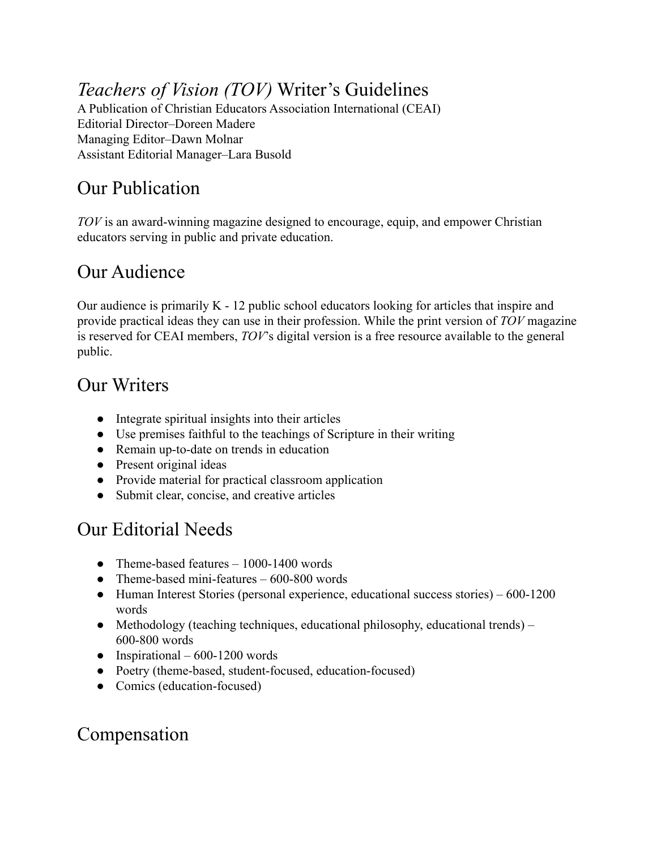# *Teachers of Vision (TOV)* Writer's Guidelines

A Publication of Christian Educators Association International (CEAI) Editorial Director–Doreen Madere Managing Editor–Dawn Molnar Assistant Editorial Manager–Lara Busold

#### Our Publication

*TOV* is an award-winning magazine designed to encourage, equip, and empower Christian educators serving in public and private education.

#### Our Audience

Our audience is primarily K - 12 public school educators looking for articles that inspire and provide practical ideas they can use in their profession. While the print version of *TOV* magazine is reserved for CEAI members, *TOV*'s digital version is a free resource available to the general public.

#### Our Writers

- Integrate spiritual insights into their articles
- Use premises faithful to the teachings of Scripture in their writing
- Remain up-to-date on trends in education
- Present original ideas
- Provide material for practical classroom application
- Submit clear, concise, and creative articles

# Our Editorial Needs

- Theme-based features  $-1000-1400$  words
- Theme-based mini-features 600-800 words
- Human Interest Stories (personal experience, educational success stories) 600-1200 words
- Methodology (teaching techniques, educational philosophy, educational trends) 600-800 words
- Inspirational  $600-1200$  words
- Poetry (theme-based, student-focused, education-focused)
- Comics (education-focused)

# Compensation